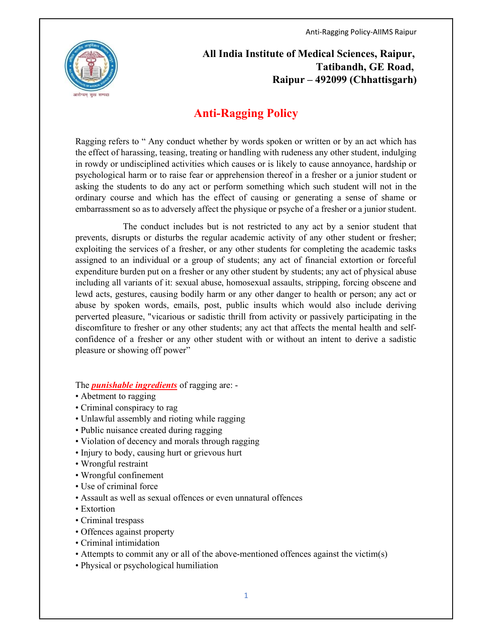

 All India Institute of Medical Sciences, Raipur, Tatibandh, GE Road, Raipur – 492099 (Chhattisgarh)

## Anti-Ragging Policy

Ragging refers to " Any conduct whether by words spoken or written or by an act which has the effect of harassing, teasing, treating or handling with rudeness any other student, indulging in rowdy or undisciplined activities which causes or is likely to cause annoyance, hardship or psychological harm or to raise fear or apprehension thereof in a fresher or a junior student or asking the students to do any act or perform something which such student will not in the ordinary course and which has the effect of causing or generating a sense of shame or embarrassment so as to adversely affect the physique or psyche of a fresher or a junior student.

 The conduct includes but is not restricted to any act by a senior student that prevents, disrupts or disturbs the regular academic activity of any other student or fresher; exploiting the services of a fresher, or any other students for completing the academic tasks assigned to an individual or a group of students; any act of financial extortion or forceful expenditure burden put on a fresher or any other student by students; any act of physical abuse including all variants of it: sexual abuse, homosexual assaults, stripping, forcing obscene and lewd acts, gestures, causing bodily harm or any other danger to health or person; any act or abuse by spoken words, emails, post, public insults which would also include deriving perverted pleasure, "vicarious or sadistic thrill from activity or passively participating in the discomfiture to fresher or any other students; any act that affects the mental health and selfconfidence of a fresher or any other student with or without an intent to derive a sadistic pleasure or showing off power"

The **punishable ingredients** of ragging are: -

- Abetment to ragging
- Criminal conspiracy to rag
- Unlawful assembly and rioting while ragging
- Public nuisance created during ragging
- Violation of decency and morals through ragging
- Injury to body, causing hurt or grievous hurt
- Wrongful restraint
- Wrongful confinement
- Use of criminal force
- Assault as well as sexual offences or even unnatural offences
- Extortion
- Criminal trespass
- Offences against property
- Criminal intimidation
- Attempts to commit any or all of the above-mentioned offences against the victim(s)
- Physical or psychological humiliation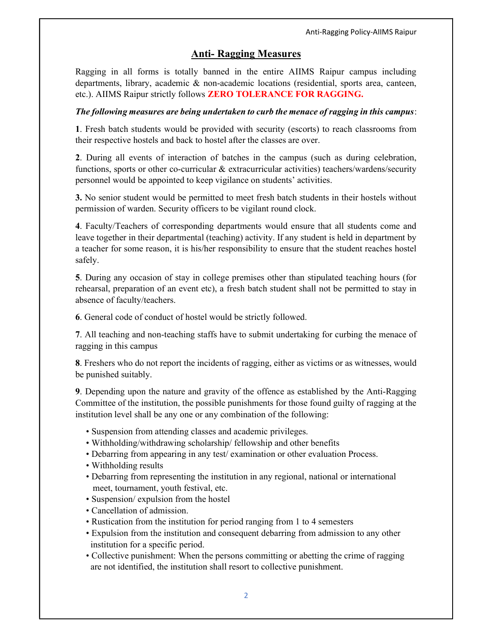## Anti- Ragging Measures

Ragging in all forms is totally banned in the entire AIIMS Raipur campus including departments, library, academic & non-academic locations (residential, sports area, canteen, etc.). AIIMS Raipur strictly follows ZERO TOLERANCE FOR RAGGING.

## The following measures are being undertaken to curb the menace of ragging in this campus:

1. Fresh batch students would be provided with security (escorts) to reach classrooms from their respective hostels and back to hostel after the classes are over.

2. During all events of interaction of batches in the campus (such as during celebration, functions, sports or other co-curricular & extracurricular activities) teachers/wardens/security personnel would be appointed to keep vigilance on students' activities.

3. No senior student would be permitted to meet fresh batch students in their hostels without permission of warden. Security officers to be vigilant round clock.

4. Faculty/Teachers of corresponding departments would ensure that all students come and leave together in their departmental (teaching) activity. If any student is held in department by a teacher for some reason, it is his/her responsibility to ensure that the student reaches hostel safely.

5. During any occasion of stay in college premises other than stipulated teaching hours (for rehearsal, preparation of an event etc), a fresh batch student shall not be permitted to stay in absence of faculty/teachers.

6. General code of conduct of hostel would be strictly followed.

7. All teaching and non-teaching staffs have to submit undertaking for curbing the menace of ragging in this campus

8. Freshers who do not report the incidents of ragging, either as victims or as witnesses, would be punished suitably.

9. Depending upon the nature and gravity of the offence as established by the Anti-Ragging Committee of the institution, the possible punishments for those found guilty of ragging at the institution level shall be any one or any combination of the following:

- Suspension from attending classes and academic privileges.
- Withholding/withdrawing scholarship/ fellowship and other benefits
- Debarring from appearing in any test/ examination or other evaluation Process.
- Withholding results
- Debarring from representing the institution in any regional, national or international meet, tournament, youth festival, etc.
- Suspension/ expulsion from the hostel
- Cancellation of admission.
- Rustication from the institution for period ranging from 1 to 4 semesters
- Expulsion from the institution and consequent debarring from admission to any other institution for a specific period.
- Collective punishment: When the persons committing or abetting the crime of ragging are not identified, the institution shall resort to collective punishment.